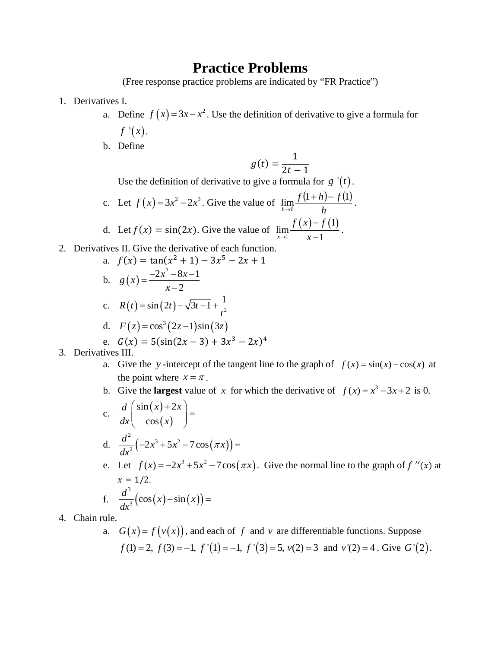## **Practice Problems**

(Free response practice problems are indicated by "FR Practice")

- 1. Derivatives I.
	- a. Define  $f(x) = 3x x^2$ . Use the definition of derivative to give a formula for  $f'(x)$ .
	- b. Define

$$
g(t) = \frac{1}{2t - 1}
$$

Use the definition of derivative to give a formula for  $g'(t)$ .

- c. Let  $f(x) = 3x^2 2x^3$ . Give the value of  $\lim_{h \to 0} \frac{f(1+h) f(1)}{h}$ . d. Let  $f(x) = \sin(2x)$ . Give the value of  $\lim_{x \to 1} \frac{f(x) - f(1)}{x - 1}$ .
- 2. Derivatives II. Give the derivative of each function.

a. 
$$
f(x) = \tan(x^2 + 1) - 3x^5 - 2x + 1
$$
  
\nb.  $g(x) = \frac{-2x^2 - 8x - 1}{x - 2}$   
\nc.  $R(t) = \sin(2t) - \sqrt{3t - 1} + \frac{1}{t^2}$   
\nd.  $F(z) = \cos^3(2z - 1)\sin(3z)$   
\ne.  $G(x) = 5(\sin(2x - 3) + 3x^3 - 2x)^4$ 

- 3. Derivatives III.
	- a. Give the y-intercept of the tangent line to the graph of  $f(x) = sin(x) cos(x)$  at the point where  $x = \pi$ .
	- b. Give the **largest** value of x for which the derivative of  $f(x) = x^3 3x + 2$  is 0.

c. 
$$
\frac{d}{dx} \left( \frac{\sin(x) + 2x}{\cos(x)} \right) =
$$
  
d. 
$$
\frac{d^2}{dx^2} \left( -2x^3 + 5x^2 - 7\cos(\pi x) \right) =
$$
  
e. Let  $f(x) = -2x^3 + 5x^2 - 7\cos(\pi x)$ . Give the normal line to the graph of  $f''(x)$  at  $x = 1/2$ .  
f. 
$$
\frac{d^3}{dx^3} \left( \cos(x) - \sin(x) \right) =
$$

- 4. Chain rule.
	- a.  $G(x) = f(v(x))$ , and each of f and v are differentiable functions. Suppose  $f(1) = 2$ ,  $f(3) = -1$ ,  $f'(1) = -1$ ,  $f'(3) = 5$ ,  $v(2) = 3$  and  $v'(2) = 4$ . Give  $G'(2)$ .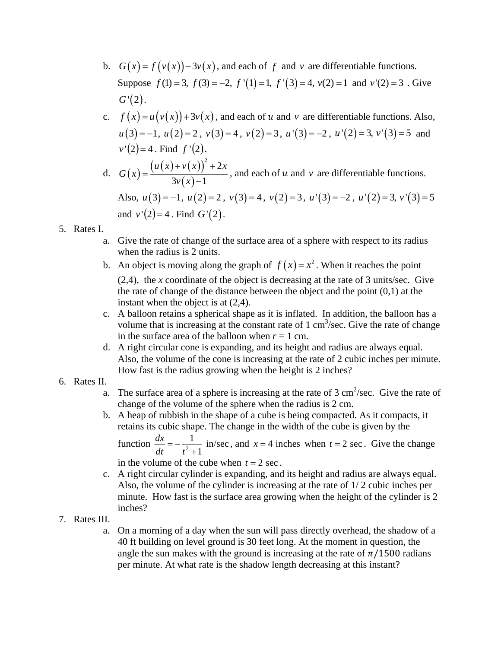- b.  $G(x) = f(v(x)) 3v(x)$ , and each of f and v are differentiable functions. Suppose  $f(1) = 3$ ,  $f(3) = -2$ ,  $f'(1) = 1$ ,  $f'(3) = 4$ ,  $v(2) = 1$  and  $v'(2) = 3$ . Give  $G'(2)$ .
- c.  $f(x) = u(v(x)) + 3v(x)$ , and each of u and v are differentiable functions. Also,  $u(3) = -1$ ,  $u(2) = 2$ ,  $v(3) = 4$ ,  $v(2) = 3$ ,  $u'(3) = -2$ ,  $u'(2) = 3$ ,  $v'(3) = 5$  and  $v'(2) = 4$ . Find  $f'(2)$ .
- d.  $G(x) = \frac{(u(x)+v(x))}{2(x+1)}$  $(x)$  $^{2}+2$  $3v(x) - 1$  $u(x) + v(x)^{2} + 2x$ *G x*  $=\frac{(u(x)+v(x))^2+2x}{3v(x)-1}$ , and each of *u* and *v* are differentiable functions. Also,  $u(3) = -1$ ,  $u(2) = 2$ ,  $v(3) = 4$ ,  $v(2) = 3$ ,  $u'(3) = -2$ ,  $u'(2) = 3$ ,  $v'(3) = 5$ and  $v'(2) = 4$ . Find  $G'(2)$ .
- 5. Rates I.
	- a. Give the rate of change of the surface area of a sphere with respect to its radius when the radius is 2 units.
	- b. An object is moving along the graph of  $f(x) = x^2$ . When it reaches the point (2,4), the *x* coordinate of the object is decreasing at the rate of 3 units/sec. Give the rate of change of the distance between the object and the point  $(0,1)$  at the instant when the object is at (2,4).
	- c. A balloon retains a spherical shape as it is inflated. In addition, the balloon has a volume that is increasing at the constant rate of  $1 \text{ cm}^3/\text{sec}$ . Give the rate of change in the surface area of the balloon when  $r = 1$  cm.
	- d. A right circular cone is expanding, and its height and radius are always equal. Also, the volume of the cone is increasing at the rate of 2 cubic inches per minute. How fast is the radius growing when the height is 2 inches?
- 6. Rates II.
	- a. The surface area of a sphere is increasing at the rate of  $3 \text{ cm}^2/\text{sec}$ . Give the rate of change of the volume of the sphere when the radius is 2 cm.
	- b. A heap of rubbish in the shape of a cube is being compacted. As it compacts, it retains its cubic shape. The change in the width of the cube is given by the

function  $\frac{dx}{dt} = -\frac{1}{t^2 + 1}$  in/sec 1  $\frac{dx}{dt} = -\frac{1}{t^2 + 1}$  in/sec, and  $x = 4$  inches when  $t = 2$  sec. Give the change in the volume of the cube when  $t = 2$  sec.

- c. A right circular cylinder is expanding, and its height and radius are always equal.
- Also, the volume of the cylinder is increasing at the rate of 1/ 2 cubic inches per minute. How fast is the surface area growing when the height of the cylinder is 2 inches?
- 7. Rates III.
	- a. On a morning of a day when the sun will pass directly overhead, the shadow of a 40 ft building on level ground is 30 feet long. At the moment in question, the angle the sun makes with the ground is increasing at the rate of  $\pi/1500$  radians per minute. At what rate is the shadow length decreasing at this instant?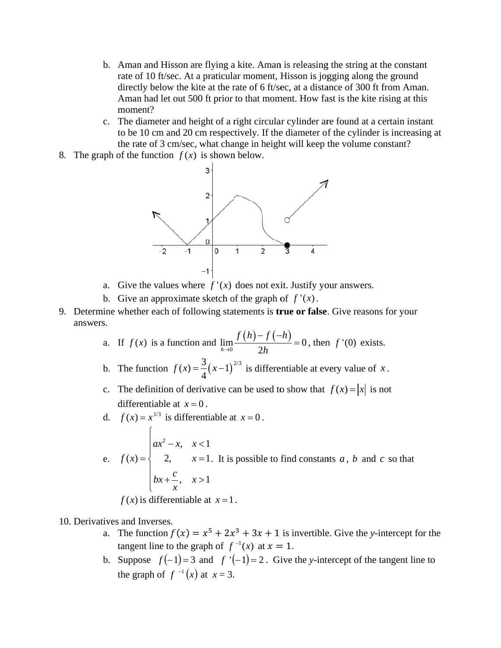- b. Aman and Hisson are flying a kite. Aman is releasing the string at the constant rate of 10 ft/sec. At a praticular moment, Hisson is jogging along the ground directly below the kite at the rate of 6 ft/sec, at a distance of 300 ft from Aman. Aman had let out 500 ft prior to that moment. How fast is the kite rising at this moment?
- c. The diameter and height of a right circular cylinder are found at a certain instant to be 10 cm and 20 cm respectively. If the diameter of the cylinder is increasing at the rate of 3 cm/sec, what change in height will keep the volume constant?
- 8. The graph of the function  $f(x)$  is shown below.



- a. Give the values where  $f'(x)$  does not exit. Justify your answers.
- b. Give an approximate sketch of the graph of  $f'(x)$ .
- 9. Determine whether each of following statements is **true or false**. Give reasons for your answers.
	- a. If  $f(x)$  is a function and  $\lim_{h\to 0} \frac{f(h)-f(-h)}{2h} = 0$ , then  $f'(0)$  exists.
	- b. The function  $f(x) = \frac{3}{4}(x-1)^{2/3}$  is differentiable at every value of x.
	- c. The definition of derivative can be used to show that  $f(x) = |x|$  is not differentiable at  $x = 0$ .
	- d.  $f(x) = x^{1/3}$  is differentiable at  $x = 0$ .
	- e.  $f(x) = \begin{cases} ax^2 x, & x < 1 \\ 2, & x = 1. \end{cases}$  It is possible to find constants a, b and c so that  $bx + \frac{c}{x}, x > 1$

 $f(x)$  is differentiable at  $x=1$ .

- 10. Derivatives and Inverses.
	- a. The function  $f(x) = x^5 + 2x^3 + 3x + 1$  is invertible. Give the y-intercept for the tangent line to the graph of  $f^{-1}(x)$  at  $x = 1$ .
	- b. Suppose  $f(-1) = 3$  and  $f'(-1) = 2$ . Give the y-intercept of the tangent line to the graph of  $f^{-1}(x)$  at  $x = 3$ .